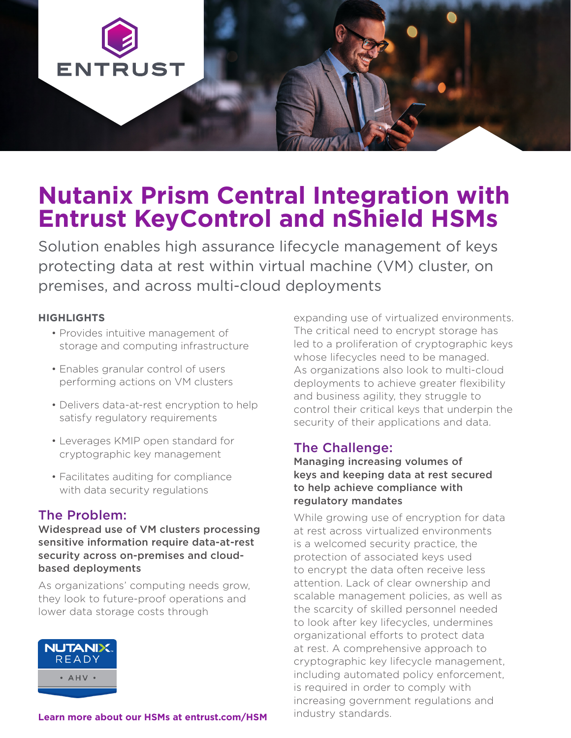

# **Nutanix Prism Central Integration with Entrust KeyControl and nShield HSMs**

Solution enables high assurance lifecycle management of keys protecting data at rest within virtual machine (VM) cluster, on premises, and across multi-cloud deployments

#### **HIGHLIGHTS**

- Provides intuitive management of storage and computing infrastructure
- Enables granular control of users performing actions on VM clusters
- Delivers data-at-rest encryption to help satisfy regulatory requirements
- Leverages KMIP open standard for cryptographic key management
- Facilitates auditing for compliance with data security regulations

#### The Problem:

Widespread use of VM clusters processing sensitive information require data-at-rest security across on-premises and cloudbased deployments

As organizations' computing needs grow, they look to future-proof operations and lower data storage costs through



## **[Learn more about our HSMs at entrust.com/HSM](https://www.entrust.com/digital-security/hsm)** industry standards.

expanding use of virtualized environments. The critical need to encrypt storage has led to a proliferation of cryptographic keys whose lifecycles need to be managed. As organizations also look to multi-cloud deployments to achieve greater flexibility and business agility, they struggle to control their critical keys that underpin the security of their applications and data.

## The Challenge:

Managing increasing volumes of keys and keeping data at rest secured to help achieve compliance with regulatory mandates

While growing use of encryption for data at rest across virtualized environments is a welcomed security practice, the protection of associated keys used to encrypt the data often receive less attention. Lack of clear ownership and scalable management policies, as well as the scarcity of skilled personnel needed to look after key lifecycles, undermines organizational efforts to protect data at rest. A comprehensive approach to cryptographic key lifecycle management, including automated policy enforcement, is required in order to comply with increasing government regulations and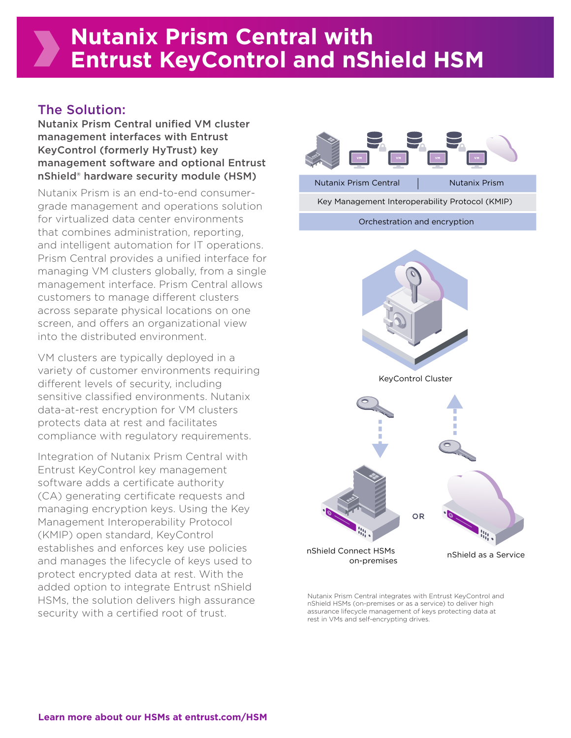## The Solution:

Nutanix Prism Central unified VM cluster management interfaces with Entrust KeyControl (formerly HyTrust) key management software and optional Entrust nShield® hardware security module (HSM)

Nutanix Prism is an end-to-end consumergrade management and operations solution for virtualized data center environments that combines administration, reporting, and intelligent automation for IT operations. Prism Central provides a unified interface for managing VM clusters globally, from a single management interface. Prism Central allows customers to manage different clusters across separate physical locations on one screen, and offers an organizational view into the distributed environment.

VM clusters are typically deployed in a variety of customer environments requiring different levels of security, including sensitive classified environments. Nutanix data-at-rest encryption for VM clusters protects data at rest and facilitates compliance with regulatory requirements.

Integration of Nutanix Prism Central with Entrust KeyControl key management software adds a certificate authority (CA) generating certificate requests and managing encryption keys. Using the Key Management Interoperability Protocol (KMIP) open standard, KeyControl establishes and enforces key use policies and manages the lifecycle of keys used to protect encrypted data at rest. With the added option to integrate Entrust nShield HSMs, the solution delivers high assurance security with a certified root of trust.



Nutanix Prism Central integrates with Entrust KeyControl and nShield HSMs (on-premises or as a service) to deliver high assurance lifecycle management of keys protecting data at rest in VMs and self-encrypting drives.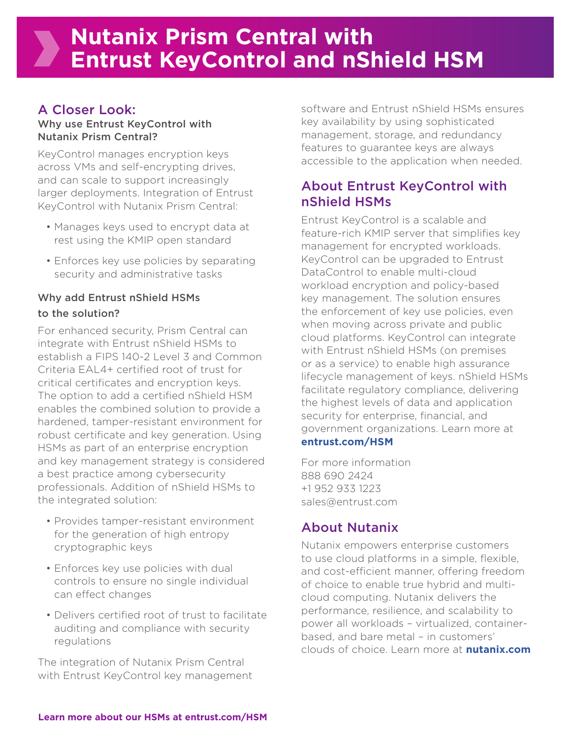## A Closer Look:

#### Why use Entrust KeyControl with Nutanix Prism Central?

KeyControl manages encryption keys across VMs and self-encrypting drives, and can scale to support increasingly larger deployments. Integration of Entrust KeyControl with Nutanix Prism Central:

- Manages keys used to encrypt data at rest using the KMIP open standard
- Enforces key use policies by separating security and administrative tasks

#### Why add Entrust nShield HSMs to the solution?

For enhanced security, Prism Central can integrate with Entrust nShield HSMs to establish a FIPS 140-2 Level 3 and Common Criteria EAL4+ certified root of trust for critical certificates and encryption keys. The option to add a certified nShield HSM enables the combined solution to provide a hardened, tamper-resistant environment for robust certificate and key generation. Using HSMs as part of an enterprise encryption and key management strategy is considered a best practice among cybersecurity professionals. Addition of nShield HSMs to the integrated solution:

- Provides tamper-resistant environment for the generation of high entropy cryptographic keys
- Enforces key use policies with dual controls to ensure no single individual can effect changes
- Delivers certified root of trust to facilitate auditing and compliance with security regulations

The integration of Nutanix Prism Central with Entrust KeyControl key management software and Entrust nShield HSMs ensures key availability by using sophisticated management, storage, and redundancy features to guarantee keys are always accessible to the application when needed.

## About Entrust KeyControl with nShield HSMs

Entrust KeyControl is a scalable and feature-rich KMIP server that simplifies key management for encrypted workloads. KeyControl can be upgraded to Entrust DataControl to enable multi-cloud workload encryption and policy-based key management. The solution ensures the enforcement of key use policies, even when moving across private and public cloud platforms. KeyControl can integrate with Entrust nShield HSMs (on premises or as a service) to enable high assurance lifecycle management of keys. nShield HSMs facilitate regulatory compliance, delivering the highest levels of data and application security for enterprise, financial, and government organizations. Learn more at **[entrust.com/HSM](https://www.entrust.com/digital-security/hsm)**

For more information 888 690 2424 +1 952 933 1223 sales@entrust.com

## About Nutanix

Nutanix empowers enterprise customers to use cloud platforms in a simple, flexible, and cost-efficient manner, offering freedom of choice to enable true hybrid and multicloud computing. Nutanix delivers the performance, resilience, and scalability to power all workloads – virtualized, containerbased, and bare metal – in customers' clouds of choice. Learn more at **[nutanix.com](https://www.nutanix.com/)**